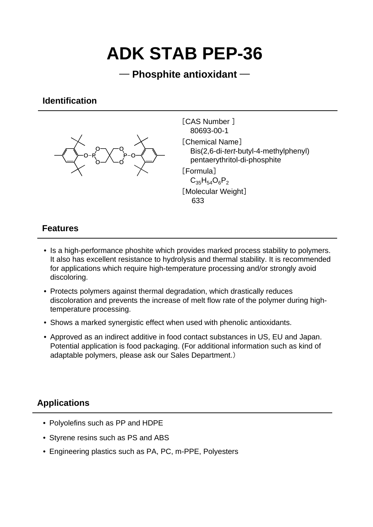# **ADK STAB PEP-36**

## ─ **Phosphite antioxidant** ─

## **Identification**



[CAS Number ] 80693-00-1 [Chemical Name] Bis(2,6-di-*tert*-butyl-4-methylphenyl) pentaerythritol-di-phosphite [Formula]  $C_{35}H_{54}O_6P_2$ 

[Molecular Weight] 633

### **Features**

- Is a high-performance phoshite which provides marked process stability to polymers. It also has excellent resistance to hydrolysis and thermal stability. It is recommended for applications which require high-temperature processing and/or strongly avoid discoloring.
- Protects polymers against thermal degradation, which drastically reduces discoloration and prevents the increase of melt flow rate of the polymer during hightemperature processing.
- Shows a marked synergistic effect when used with phenolic antioxidants.
- Approved as an indirect additive in food contact substances in US, EU and Japan. Potential application is food packaging. (For additional information such as kind of adaptable polymers, please ask our Sales Department.)

## **Applications**

- Polyolefins such as PP and HDPE
- Styrene resins such as PS and ABS
- Engineering plastics such as PA, PC, m-PPE, Polyesters